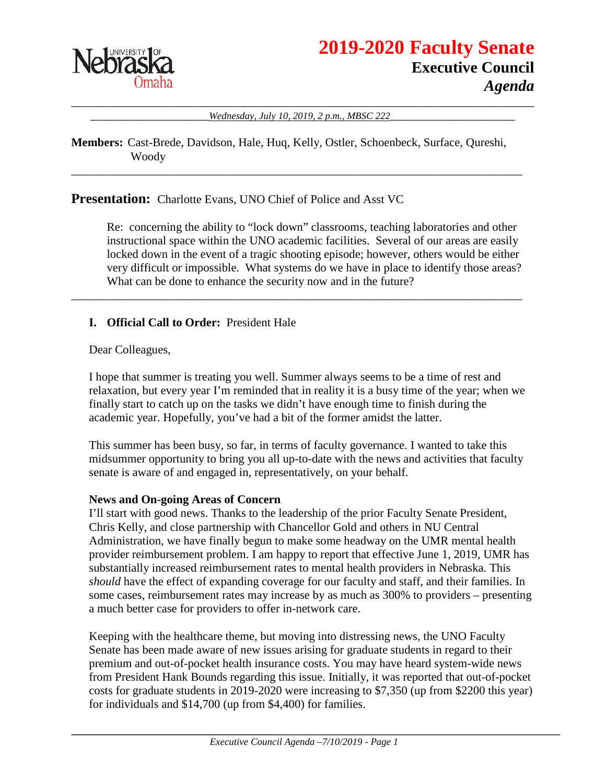

\_\_\_\_\_\_\_\_\_\_\_\_\_\_\_\_\_\_\_\_\_\_\_\_\_\_\_\_\_\_\_\_\_\_\_\_\_\_\_\_\_\_\_\_\_\_\_\_\_\_\_\_\_\_\_\_\_\_\_\_\_\_\_\_\_\_\_\_\_\_\_\_\_\_\_\_\_\_ Wednesday, July 10, 2019, 2 p.m., MBSC 222

**Members:** Cast-Brede, Davidson, Hale, Huq, Kelly, Ostler, Schoenbeck, Surface, Qureshi, Woody

\_\_\_\_\_\_\_\_\_\_\_\_\_\_\_\_\_\_\_\_\_\_\_\_\_\_\_\_\_\_\_\_\_\_\_\_\_\_\_\_\_\_\_\_\_\_\_\_\_\_\_\_\_\_\_\_\_\_\_\_\_\_\_\_\_\_\_\_\_\_\_\_\_\_\_\_

\_\_\_\_\_\_\_\_\_\_\_\_\_\_\_\_\_\_\_\_\_\_\_\_\_\_\_\_\_\_\_\_\_\_\_\_\_\_\_\_\_\_\_\_\_\_\_\_\_\_\_\_\_\_\_\_\_\_\_\_\_\_\_\_\_\_\_\_\_\_\_\_\_\_\_\_

**Presentation:** Charlotte Evans, UNO Chief of Police and Asst VC

Re: concerning the ability to "lock down" classrooms, teaching laboratories and other instructional space within the UNO academic facilities. Several of our areas are easily locked down in the event of a tragic shooting episode; however, others would be either very difficult or impossible. What systems do we have in place to identify those areas? What can be done to enhance the security now and in the future?

# **I. Official Call to Order:** President Hale

Dear Colleagues,

I hope that summer is treating you well. Summer always seems to be a time of rest and relaxation, but every year I'm reminded that in reality it is a busy time of the year; when we finally start to catch up on the tasks we didn't have enough time to finish during the academic year. Hopefully, you've had a bit of the former amidst the latter.

This summer has been busy, so far, in terms of faculty governance. I wanted to take this midsummer opportunity to bring you all up-to-date with the news and activities that faculty senate is aware of and engaged in, representatively, on your behalf.

### **News and On-going Areas of Concern**

I'll start with good news. Thanks to the leadership of the prior Faculty Senate President, Chris Kelly, and close partnership with Chancellor Gold and others in NU Central Administration, we have finally begun to make some headway on the UMR mental health provider reimbursement problem. I am happy to report that effective June 1, 2019, UMR has substantially increased reimbursement rates to mental health providers in Nebraska. This *should* have the effect of expanding coverage for our faculty and staff, and their families. In some cases, reimbursement rates may increase by as much as 300% to providers – presenting a much better case for providers to offer in-network care.

Keeping with the healthcare theme, but moving into distressing news, the UNO Faculty Senate has been made aware of new issues arising for graduate students in regard to their premium and out-of-pocket health insurance costs. You may have heard system-wide news from President Hank Bounds regarding this issue. Initially, it was reported that out-of-pocket costs for graduate students in 2019-2020 were increasing to \$7,350 (up from \$2200 this year) for individuals and \$14,700 (up from \$4,400) for families.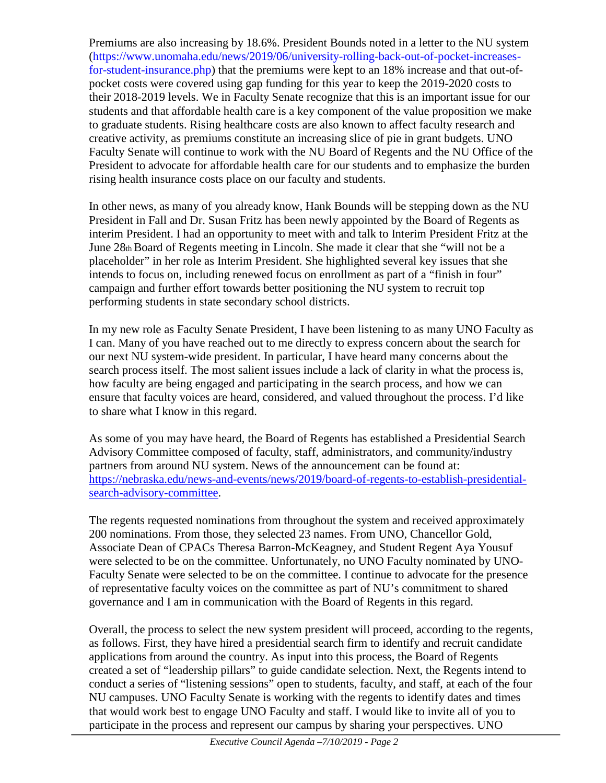Premiums are also increasing by 18.6%. President Bounds noted in a letter to the NU system (https://www.unomaha.edu/news/2019/06/university-rolling-back-out-of-pocket-increasesfor-student-insurance.php) that the premiums were kept to an 18% increase and that out-ofpocket costs were covered using gap funding for this year to keep the 2019-2020 costs to their 2018-2019 levels. We in Faculty Senate recognize that this is an important issue for our students and that affordable health care is a key component of the value proposition we make to graduate students. Rising healthcare costs are also known to affect faculty research and creative activity, as premiums constitute an increasing slice of pie in grant budgets. UNO Faculty Senate will continue to work with the NU Board of Regents and the NU Office of the President to advocate for affordable health care for our students and to emphasize the burden rising health insurance costs place on our faculty and students.

In other news, as many of you already know, Hank Bounds will be stepping down as the NU President in Fall and Dr. Susan Fritz has been newly appointed by the Board of Regents as interim President. I had an opportunity to meet with and talk to Interim President Fritz at the June 28th Board of Regents meeting in Lincoln. She made it clear that she "will not be a placeholder" in her role as Interim President. She highlighted several key issues that she intends to focus on, including renewed focus on enrollment as part of a "finish in four" campaign and further effort towards better positioning the NU system to recruit top performing students in state secondary school districts.

In my new role as Faculty Senate President, I have been listening to as many UNO Faculty as I can. Many of you have reached out to me directly to express concern about the search for our next NU system-wide president. In particular, I have heard many concerns about the search process itself. The most salient issues include a lack of clarity in what the process is, how faculty are being engaged and participating in the search process, and how we can ensure that faculty voices are heard, considered, and valued throughout the process. I'd like to share what I know in this regard.

As some of you may have heard, the Board of Regents has established a Presidential Search Advisory Committee composed of faculty, staff, administrators, and community/industry partners from around NU system. News of the announcement can be found at: [https://nebraska.edu/news-and-events/news/2019/board-of-regents-to-establish-presidential](https://nebraska.edu/news-and-events/news/2019/board-of-regents-to-establish-presidential-search-advisory-committee)[search-advisory-committee.](https://nebraska.edu/news-and-events/news/2019/board-of-regents-to-establish-presidential-search-advisory-committee)

The regents requested nominations from throughout the system and received approximately 200 nominations. From those, they selected 23 names. From UNO, Chancellor Gold, Associate Dean of CPACs Theresa Barron-McKeagney, and Student Regent Aya Yousuf were selected to be on the committee. Unfortunately, no UNO Faculty nominated by UNO-Faculty Senate were selected to be on the committee. I continue to advocate for the presence of representative faculty voices on the committee as part of NU's commitment to shared governance and I am in communication with the Board of Regents in this regard.

Overall, the process to select the new system president will proceed, according to the regents, as follows. First, they have hired a presidential search firm to identify and recruit candidate applications from around the country. As input into this process, the Board of Regents created a set of "leadership pillars" to guide candidate selection. Next, the Regents intend to conduct a series of "listening sessions" open to students, faculty, and staff, at each of the four NU campuses. UNO Faculty Senate is working with the regents to identify dates and times that would work best to engage UNO Faculty and staff. I would like to invite all of you to participate in the process and represent our campus by sharing your perspectives. UNO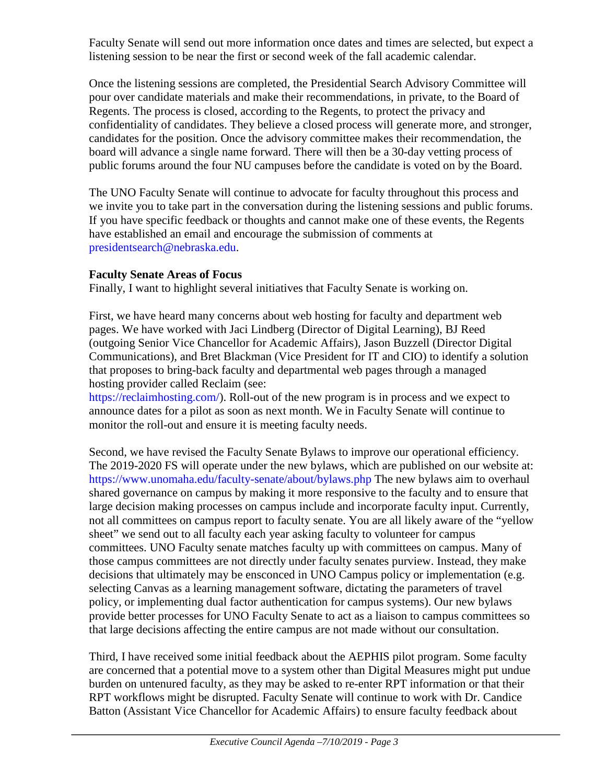Faculty Senate will send out more information once dates and times are selected, but expect a listening session to be near the first or second week of the fall academic calendar.

Once the listening sessions are completed, the Presidential Search Advisory Committee will pour over candidate materials and make their recommendations, in private, to the Board of Regents. The process is closed, according to the Regents, to protect the privacy and confidentiality of candidates. They believe a closed process will generate more, and stronger, candidates for the position. Once the advisory committee makes their recommendation, the board will advance a single name forward. There will then be a 30-day vetting process of public forums around the four NU campuses before the candidate is voted on by the Board.

The UNO Faculty Senate will continue to advocate for faculty throughout this process and we invite you to take part in the conversation during the listening sessions and public forums. If you have specific feedback or thoughts and cannot make one of these events, the Regents have established an email and encourage the submission of comments at presidentsearch@nebraska.edu.

# **Faculty Senate Areas of Focus**

Finally, I want to highlight several initiatives that Faculty Senate is working on.

First, we have heard many concerns about web hosting for faculty and department web pages. We have worked with Jaci Lindberg (Director of Digital Learning), BJ Reed (outgoing Senior Vice Chancellor for Academic Affairs), Jason Buzzell (Director Digital Communications), and Bret Blackman (Vice President for IT and CIO) to identify a solution that proposes to bring-back faculty and departmental web pages through a managed hosting provider called Reclaim (see:

https://reclaimhosting.com/). Roll-out of the new program is in process and we expect to announce dates for a pilot as soon as next month. We in Faculty Senate will continue to monitor the roll-out and ensure it is meeting faculty needs.

Second, we have revised the Faculty Senate Bylaws to improve our operational efficiency. The 2019-2020 FS will operate under the new bylaws, which are published on our website at: https://www.unomaha.edu/faculty-senate/about/bylaws.php The new bylaws aim to overhaul shared governance on campus by making it more responsive to the faculty and to ensure that large decision making processes on campus include and incorporate faculty input. Currently, not all committees on campus report to faculty senate. You are all likely aware of the "yellow sheet" we send out to all faculty each year asking faculty to volunteer for campus committees. UNO Faculty senate matches faculty up with committees on campus. Many of those campus committees are not directly under faculty senates purview. Instead, they make decisions that ultimately may be ensconced in UNO Campus policy or implementation (e.g. selecting Canvas as a learning management software, dictating the parameters of travel policy, or implementing dual factor authentication for campus systems). Our new bylaws provide better processes for UNO Faculty Senate to act as a liaison to campus committees so that large decisions affecting the entire campus are not made without our consultation.

Third, I have received some initial feedback about the AEPHIS pilot program. Some faculty are concerned that a potential move to a system other than Digital Measures might put undue burden on untenured faculty, as they may be asked to re-enter RPT information or that their RPT workflows might be disrupted. Faculty Senate will continue to work with Dr. Candice Batton (Assistant Vice Chancellor for Academic Affairs) to ensure faculty feedback about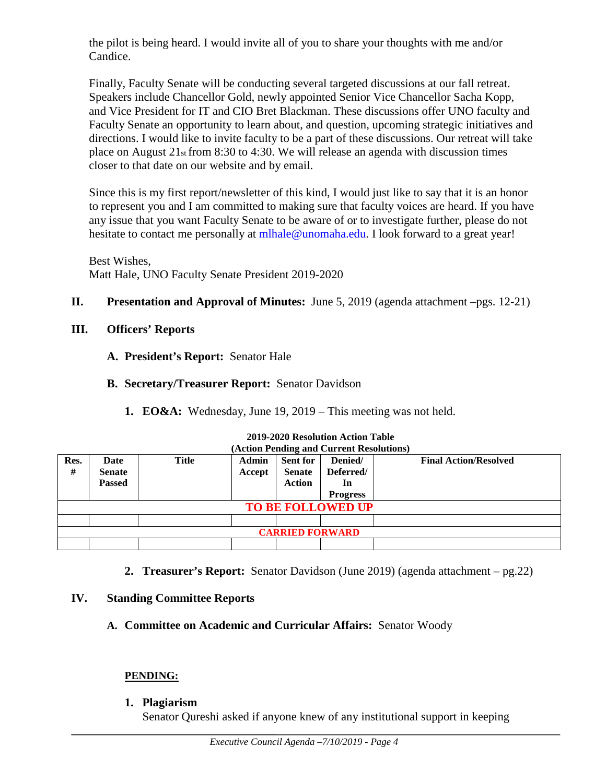the pilot is being heard. I would invite all of you to share your thoughts with me and/or Candice.

Finally, Faculty Senate will be conducting several targeted discussions at our fall retreat. Speakers include Chancellor Gold, newly appointed Senior Vice Chancellor Sacha Kopp, and Vice President for IT and CIO Bret Blackman. These discussions offer UNO faculty and Faculty Senate an opportunity to learn about, and question, upcoming strategic initiatives and directions. I would like to invite faculty to be a part of these discussions. Our retreat will take place on August  $21<sub>st</sub>$  from 8:30 to 4:30. We will release an agenda with discussion times closer to that date on our website and by email.

Since this is my first report/newsletter of this kind, I would just like to say that it is an honor to represent you and I am committed to making sure that faculty voices are heard. If you have any issue that you want Faculty Senate to be aware of or to investigate further, please do not hesitate to contact me personally at mlhale@unomaha.edu. I look forward to a great year!

Best Wishes, Matt Hale, UNO Faculty Senate President 2019-2020

# **II. Presentation and Approval of Minutes:** June 5, 2019 (agenda attachment –pgs. 12-21)

- **III. Officers' Reports**
	- **A. President's Report:** Senator Hale
	- **B. Secretary/Treasurer Report:** Senator Davidson
		- **1. EO&A:** Wednesday, June 19, 2019 This meeting was not held.

| (Action Pending and Current Resolutions) |               |       |        |                 |                 |                              |  |  |
|------------------------------------------|---------------|-------|--------|-----------------|-----------------|------------------------------|--|--|
| Res.                                     | Date          | Title | Admin  | <b>Sent for</b> | Denied/         | <b>Final Action/Resolved</b> |  |  |
| #                                        | <b>Senate</b> |       | Accept | <b>Senate</b>   | Deferred/       |                              |  |  |
|                                          | <b>Passed</b> |       |        | <b>Action</b>   | In              |                              |  |  |
|                                          |               |       |        |                 | <b>Progress</b> |                              |  |  |
| <b>TO BE FOLLOWED UP</b>                 |               |       |        |                 |                 |                              |  |  |
|                                          |               |       |        |                 |                 |                              |  |  |
| <b>CARRIED FORWARD</b>                   |               |       |        |                 |                 |                              |  |  |
|                                          |               |       |        |                 |                 |                              |  |  |

# **2019-2020 Resolution Action Table**

**2. Treasurer's Report:** Senator Davidson (June 2019) (agenda attachment – pg.22)

# **IV. Standing Committee Reports**

**A. Committee on Academic and Curricular Affairs:** Senator Woody

# **PENDING:**

**1. Plagiarism** 

Senator Qureshi asked if anyone knew of any institutional support in keeping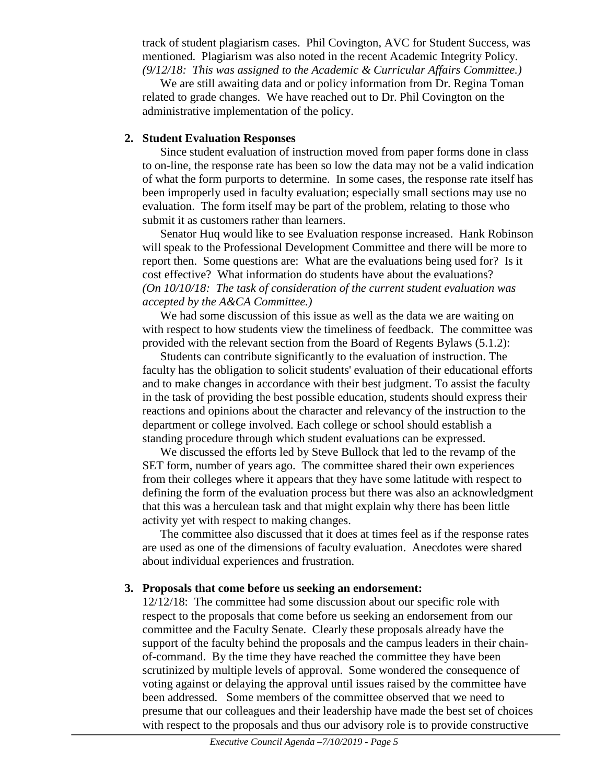track of student plagiarism cases. Phil Covington, AVC for Student Success, was mentioned. Plagiarism was also noted in the recent Academic Integrity Policy. *(9/12/18: This was assigned to the Academic & Curricular Affairs Committee.)* 

We are still awaiting data and or policy information from Dr. Regina Toman related to grade changes. We have reached out to Dr. Phil Covington on the administrative implementation of the policy.

# **2. Student Evaluation Responses**

Since student evaluation of instruction moved from paper forms done in class to on-line, the response rate has been so low the data may not be a valid indication of what the form purports to determine. In some cases, the response rate itself has been improperly used in faculty evaluation; especially small sections may use no evaluation. The form itself may be part of the problem, relating to those who submit it as customers rather than learners.

Senator Huq would like to see Evaluation response increased. Hank Robinson will speak to the Professional Development Committee and there will be more to report then. Some questions are: What are the evaluations being used for? Is it cost effective? What information do students have about the evaluations? *(On 10/10/18: The task of consideration of the current student evaluation was accepted by the A&CA Committee.)*

We had some discussion of this issue as well as the data we are waiting on with respect to how students view the timeliness of feedback. The committee was provided with the relevant section from the Board of Regents Bylaws (5.1.2):

Students can contribute significantly to the evaluation of instruction. The faculty has the obligation to solicit students' evaluation of their educational efforts and to make changes in accordance with their best judgment. To assist the faculty in the task of providing the best possible education, students should express their reactions and opinions about the character and relevancy of the instruction to the department or college involved. Each college or school should establish a standing procedure through which student evaluations can be expressed.

We discussed the efforts led by Steve Bullock that led to the revamp of the SET form, number of years ago. The committee shared their own experiences from their colleges where it appears that they have some latitude with respect to defining the form of the evaluation process but there was also an acknowledgment that this was a herculean task and that might explain why there has been little activity yet with respect to making changes.

The committee also discussed that it does at times feel as if the response rates are used as one of the dimensions of faculty evaluation. Anecdotes were shared about individual experiences and frustration.

# **3. Proposals that come before us seeking an endorsement:**

12/12/18: The committee had some discussion about our specific role with respect to the proposals that come before us seeking an endorsement from our committee and the Faculty Senate. Clearly these proposals already have the support of the faculty behind the proposals and the campus leaders in their chainof-command. By the time they have reached the committee they have been scrutinized by multiple levels of approval. Some wondered the consequence of voting against or delaying the approval until issues raised by the committee have been addressed. Some members of the committee observed that we need to presume that our colleagues and their leadership have made the best set of choices with respect to the proposals and thus our advisory role is to provide constructive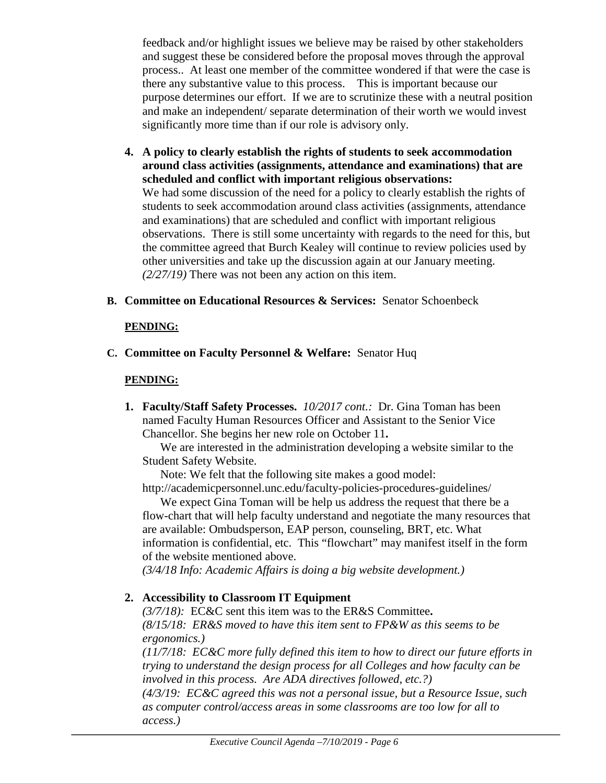feedback and/or highlight issues we believe may be raised by other stakeholders and suggest these be considered before the proposal moves through the approval process.. At least one member of the committee wondered if that were the case is there any substantive value to this process. This is important because our purpose determines our effort. If we are to scrutinize these with a neutral position and make an independent/ separate determination of their worth we would invest significantly more time than if our role is advisory only.

- **4. A policy to clearly establish the rights of students to seek accommodation around class activities (assignments, attendance and examinations) that are scheduled and conflict with important religious observations:** We had some discussion of the need for a policy to clearly establish the rights of students to seek accommodation around class activities (assignments, attendance and examinations) that are scheduled and conflict with important religious observations. There is still some uncertainty with regards to the need for this, but the committee agreed that Burch Kealey will continue to review policies used by other universities and take up the discussion again at our January meeting. *(2/27/19)* There was not been any action on this item.
- **B. Committee on Educational Resources & Services:** Senator Schoenbeck

# **PENDING:**

**C. Committee on Faculty Personnel & Welfare:** Senator Huq

# **PENDING:**

**1. Faculty/Staff Safety Processes.** *10/2017 cont.:* Dr. Gina Toman has been named Faculty Human Resources Officer and Assistant to the Senior Vice Chancellor. She begins her new role on October 11**.**

We are interested in the administration developing a website similar to the Student Safety Website.

Note: We felt that the following site makes a good model:

http://academicpersonnel.unc.edu/faculty-policies-procedures-guidelines/ We expect Gina Toman will be help us address the request that there be a

flow-chart that will help faculty understand and negotiate the many resources that are available: Ombudsperson, EAP person, counseling, BRT, etc. What information is confidential, etc. This "flowchart" may manifest itself in the form of the website mentioned above.

*(3/4/18 Info: Academic Affairs is doing a big website development.)*

# **2. Accessibility to Classroom IT Equipment**

*(3/7/18):* EC&C sent this item was to the ER&S Committee**.** 

*(8/15/18: ER&S moved to have this item sent to FP&W as this seems to be ergonomics.)* 

*(11/7/18: EC&C more fully defined this item to how to direct our future efforts in trying to understand the design process for all Colleges and how faculty can be involved in this process. Are ADA directives followed, etc.?)* 

*(4/3/19: EC&C agreed this was not a personal issue, but a Resource Issue, such as computer control/access areas in some classrooms are too low for all to access.)*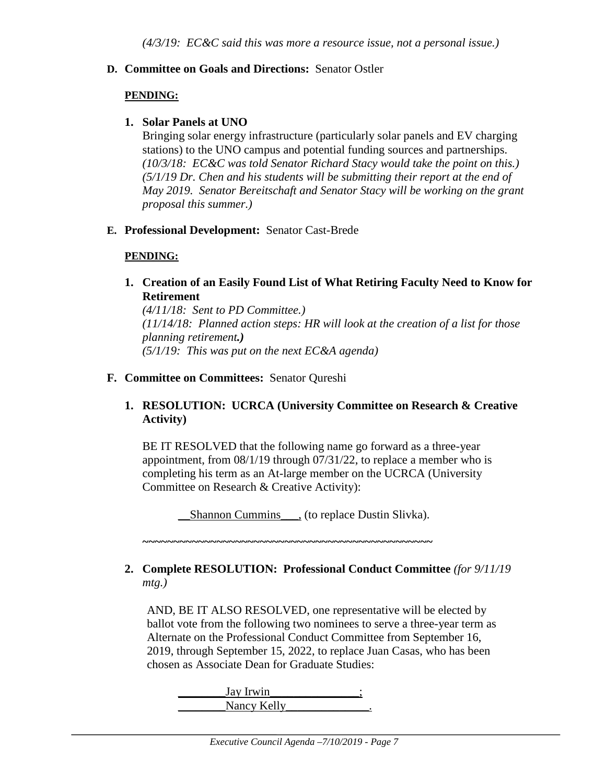### **D. Committee on Goals and Directions:** Senator Ostler

#### **PENDING:**

#### **1. Solar Panels at UNO**

Bringing solar energy infrastructure (particularly solar panels and EV charging stations) to the UNO campus and potential funding sources and partnerships. *(10/3/18: EC&C was told Senator Richard Stacy would take the point on this.) (5/1/19 Dr. Chen and his students will be submitting their report at the end of May 2019. Senator Bereitschaft and Senator Stacy will be working on the grant proposal this summer.)*

### **E. Professional Development:** Senator Cast-Brede

#### **PENDING:**

**1. Creation of an Easily Found List of What Retiring Faculty Need to Know for Retirement**

*(4/11/18: Sent to PD Committee.) (11/14/18: Planned action steps: HR will look at the creation of a list for those planning retirement.) (5/1/19: This was put on the next EC&A agenda)*

### **F. Committee on Committees:** Senator Qureshi

## **1. RESOLUTION: UCRCA (University Committee on Research & Creative Activity)**

BE IT RESOLVED that the following name go forward as a three-year appointment, from 08/1/19 through 07/31/22, to replace a member who is completing his term as an At-large member on the UCRCA (University Committee on Research & Creative Activity):

\_\_Shannon Cummins\_\_\_, (to replace Dustin Slivka).

**~~~~~~~~~~~~~~~~~~~~~~~~~~~~~~~~~~~~~~~~~~~~~~~**

## **2. Complete RESOLUTION: Professional Conduct Committee** *(for 9/11/19 mtg.)*

AND, BE IT ALSO RESOLVED, one representative will be elected by ballot vote from the following two nominees to serve a three-year term as Alternate on the Professional Conduct Committee from September 16, 2019, through September 15, 2022, to replace Juan Casas, who has been chosen as Associate Dean for Graduate Studies:

 $\frac{\text{Jay Irwin}}{\text{Jay Iwain}}$ Nancy Kelly ...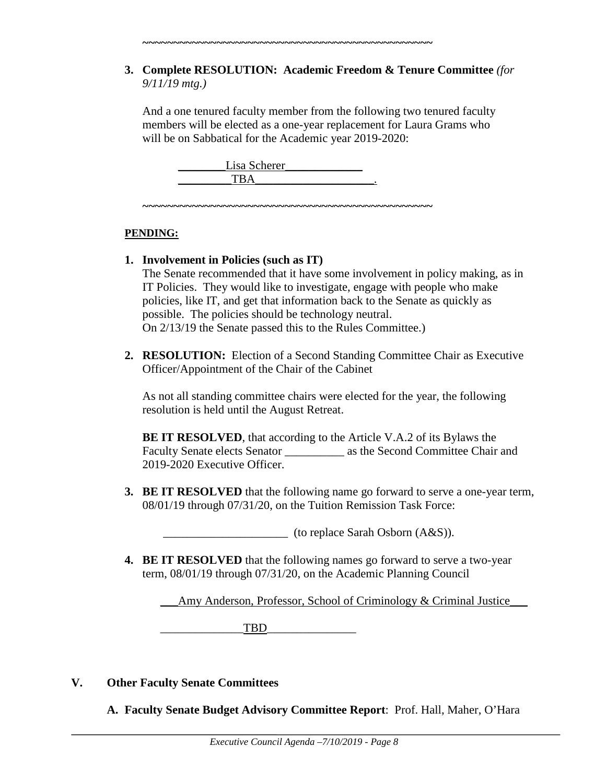**3. Complete RESOLUTION: Academic Freedom & Tenure Committee** *(for 9/11/19 mtg.)*

And a one tenured faculty member from the following two tenured faculty members will be elected as a one-year replacement for Laura Grams who will be on Sabbatical for the Academic year 2019-2020:

Lisa Scherer TBA

**~~~~~~~~~~~~~~~~~~~~~~~~~~~~~~~~~~~~~~~~~~~~~~~**

**~~~~~~~~~~~~~~~~~~~~~~~~~~~~~~~~~~~~~~~~~~~~~~~**

# **PENDING:**

- **1. Involvement in Policies (such as IT)** The Senate recommended that it have some involvement in policy making, as in IT Policies. They would like to investigate, engage with people who make policies, like IT, and get that information back to the Senate as quickly as possible. The policies should be technology neutral. On 2/13/19 the Senate passed this to the Rules Committee.)
- **2. RESOLUTION:** Election of a Second Standing Committee Chair as Executive Officer/Appointment of the Chair of the Cabinet

As not all standing committee chairs were elected for the year, the following resolution is held until the August Retreat.

**BE IT RESOLVED**, that according to the Article V.A.2 of its Bylaws the Faculty Senate elects Senator as the Second Committee Chair and 2019-2020 Executive Officer.

**3. BE IT RESOLVED** that the following name go forward to serve a one-year term, 08/01/19 through 07/31/20, on the Tuition Remission Task Force:

 $\qquad \qquad$  (to replace Sarah Osborn  $(A&S)$ ).

**4. BE IT RESOLVED** that the following names go forward to serve a two-year term, 08/01/19 through 07/31/20, on the Academic Planning Council

\_\_\_Amy Anderson, Professor, School of Criminology & Criminal Justice\_\_\_

TBD

**V. Other Faculty Senate Committees** 

**A. Faculty Senate Budget Advisory Committee Report**: Prof. Hall, Maher, O'Hara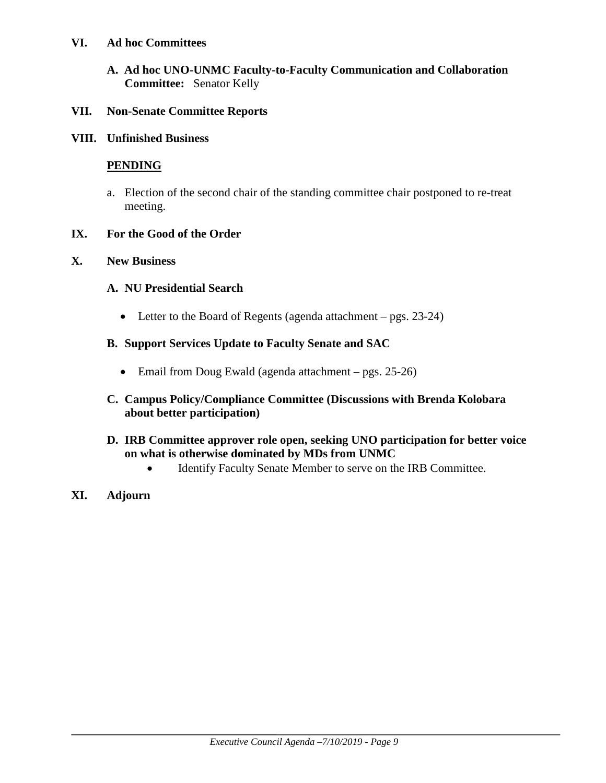## **VI. Ad hoc Committees**

**A. Ad hoc UNO-UNMC Faculty-to-Faculty Communication and Collaboration Committee:** Senator Kelly

## **VII. Non-Senate Committee Reports**

**VIII. Unfinished Business**

# **PENDING**

a. Election of the second chair of the standing committee chair postponed to re-treat meeting.

### **IX. For the Good of the Order**

### **X. New Business**

### **A. NU Presidential Search**

• Letter to the Board of Regents (agenda attachment – pgs. 23-24)

## **B. Support Services Update to Faculty Senate and SAC**

- Email from Doug Ewald (agenda attachment pgs. 25-26)
- **C. Campus Policy/Compliance Committee (Discussions with Brenda Kolobara about better participation)**

## **D. IRB Committee approver role open, seeking UNO participation for better voice on what is otherwise dominated by MDs from UNMC**

- Identify Faculty Senate Member to serve on the IRB Committee.
- **XI. Adjourn**